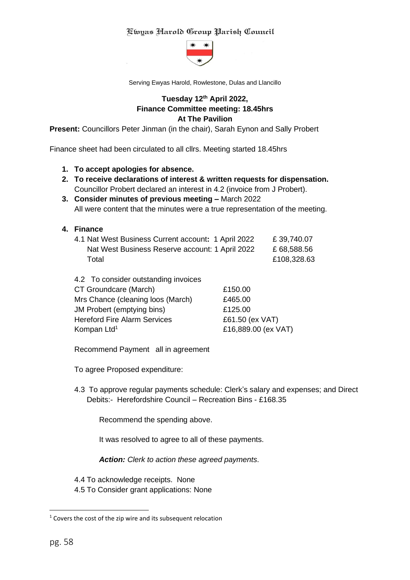

Serving Ewyas Harold, Rowlestone, Dulas and Llancillo

# **Tuesday 12th April 2022, Finance Committee meeting: 18.45hrs At The Pavilion**

**Present:** Councillors Peter Jinman (in the chair), Sarah Eynon and Sally Probert

Finance sheet had been circulated to all cllrs. Meeting started 18.45hrs

- **1. To accept apologies for absence.**
- **2. To receive declarations of interest & written requests for dispensation.** Councillor Probert declared an interest in 4.2 (invoice from J Probert).
- **3. Consider minutes of previous meeting –** March 2022 All were content that the minutes were a true representation of the meeting.
- **4. Finance**

| 4.1 Nat West Business Current account: 1 April 2022 | £39,740.07  |
|-----------------------------------------------------|-------------|
| Nat West Business Reserve account: 1 April 2022     | £ 68,588.56 |
| Total                                               | £108,328.63 |

| 4.2 To consider outstanding invoices |                     |
|--------------------------------------|---------------------|
| CT Groundcare (March)                | £150.00             |
| Mrs Chance (cleaning loos (March)    | £465.00             |
| JM Probert (emptying bins)           | £125.00             |
| <b>Hereford Fire Alarm Services</b>  | £61.50 (ex VAT)     |
| Kompan Ltd <sup>1</sup>              | £16,889.00 (ex VAT) |

Recommend Payment all in agreement

To agree Proposed expenditure:

4.3 To approve regular payments schedule: Clerk's salary and expenses; and Direct Debits:- Herefordshire Council – Recreation Bins - £168.35

Recommend the spending above.

It was resolved to agree to all of these payments.

*Action: Clerk to action these agreed payments*.

4.4 To acknowledge receipts. None

4.5 To Consider grant applications: None

 $1$  Covers the cost of the zip wire and its subsequent relocation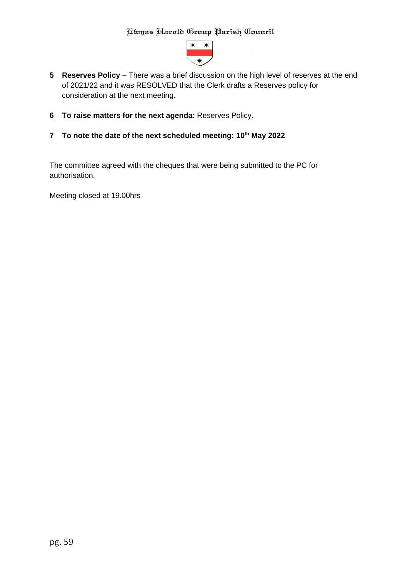

- l **5 Reserves Policy** – There was a brief discussion on the high level of reserves at the end of 2021/22 and it was RESOLVED that the Clerk drafts a Reserves policy for consideration at the next meeting**.**
- **6 To raise matters for the next agenda:** Reserves Policy.
- **7 To note the date of the next scheduled meeting: 10th May 2022**

The committee agreed with the cheques that were being submitted to the PC for authorisation.

Meeting closed at 19.00hrs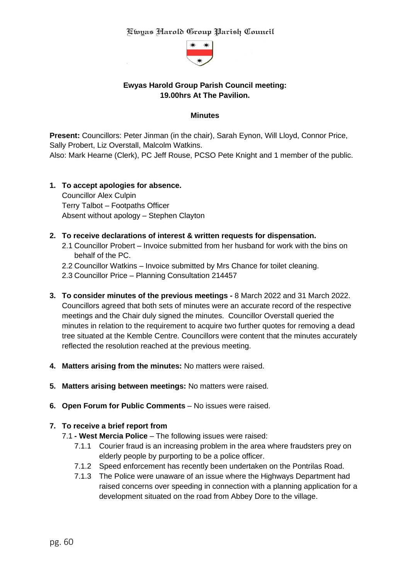

# **Ewyas Harold Group Parish Council meeting: 19.00hrs At The Pavilion.**

#### **Minutes**

**Present:** Councillors: Peter Jinman (in the chair), Sarah Eynon, Will Lloyd, Connor Price, Sally Probert, Liz Overstall, Malcolm Watkins. Also: Mark Hearne (Clerk), PC Jeff Rouse, PCSO Pete Knight and 1 member of the public.

# **1. To accept apologies for absence.**

Councillor Alex Culpin Terry Talbot – Footpaths Officer Absent without apology – Stephen Clayton

#### **2. To receive declarations of interest & written requests for dispensation.**

- 2.1 Councillor Probert Invoice submitted from her husband for work with the bins on behalf of the PC.
- 2.2 Councillor Watkins Invoice submitted by Mrs Chance for toilet cleaning.
- 2.3 Councillor Price Planning Consultation 214457
- **3. To consider minutes of the previous meetings -** 8 March 2022 and 31 March 2022. Councillors agreed that both sets of minutes were an accurate record of the respective meetings and the Chair duly signed the minutes. Councillor Overstall queried the minutes in relation to the requirement to acquire two further quotes for removing a dead tree situated at the Kemble Centre. Councillors were content that the minutes accurately reflected the resolution reached at the previous meeting.
- **4. Matters arising from the minutes:** No matters were raised.
- **5. Matters arising between meetings:** No matters were raised.
- **6. Open Forum for Public Comments** No issues were raised.

#### **7. To receive a brief report from**

- 7.1 **- West Mercia Police** The following issues were raised:
	- 7.1.1 Courier fraud is an increasing problem in the area where fraudsters prey on elderly people by purporting to be a police officer.
	- 7.1.2 Speed enforcement has recently been undertaken on the Pontrilas Road.
	- 7.1.3 The Police were unaware of an issue where the Highways Department had raised concerns over speeding in connection with a planning application for a development situated on the road from Abbey Dore to the village.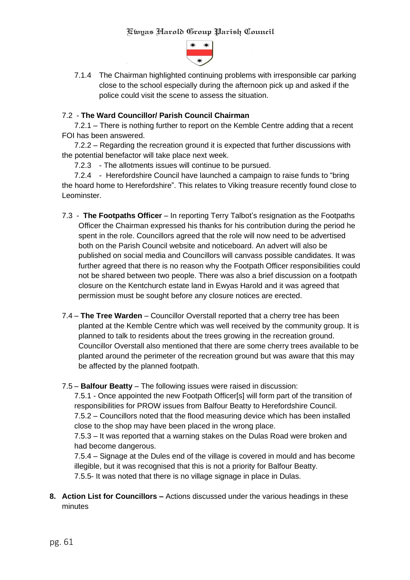

7.1.4 The Chairman highlighted continuing problems with irresponsible car parking close to the school especially during the afternoon pick up and asked if the police could visit the scene to assess the situation.

### 7.2 - **The Ward Councillor/ Parish Council Chairman**

7.2.1 – There is nothing further to report on the Kemble Centre adding that a recent FOI has been answered.

7.2.2 – Regarding the recreation ground it is expected that further discussions with the potential benefactor will take place next week.

7.2.3 - The allotments issues will continue to be pursued.

7.2.4 - Herefordshire Council have launched a campaign to raise funds to "bring the hoard home to Herefordshire". This relates to Viking treasure recently found close to Leominster.

- 7.3 **The Footpaths Officer** In reporting Terry Talbot's resignation as the Footpaths Officer the Chairman expressed his thanks for his contribution during the period he spent in the role. Councillors agreed that the role will now need to be advertised both on the Parish Council website and noticeboard. An advert will also be published on social media and Councillors will canvass possible candidates. It was further agreed that there is no reason why the Footpath Officer responsibilities could not be shared between two people. There was also a brief discussion on a footpath closure on the Kentchurch estate land in Ewyas Harold and it was agreed that permission must be sought before any closure notices are erected.
- 7.4 **The Tree Warden** Councillor Overstall reported that a cherry tree has been planted at the Kemble Centre which was well received by the community group. It is planned to talk to residents about the trees growing in the recreation ground. Councillor Overstall also mentioned that there are some cherry trees available to be planted around the perimeter of the recreation ground but was aware that this may be affected by the planned footpath.

#### 7.5 – **Balfour Beatty** – The following issues were raised in discussion:

7.5.1 - Once appointed the new Footpath Officer[s] will form part of the transition of responsibilities for PROW issues from Balfour Beatty to Herefordshire Council.

7.5.2 – Councillors noted that the flood measuring device which has been installed close to the shop may have been placed in the wrong place.

7.5.3 – It was reported that a warning stakes on the Dulas Road were broken and had become dangerous.

7.5.4 – Signage at the Dules end of the village is covered in mould and has become illegible, but it was recognised that this is not a priority for Balfour Beatty. 7.5.5- It was noted that there is no village signage in place in Dulas.

**8. Action List for Councillors –** Actions discussed under the various headings in these minutes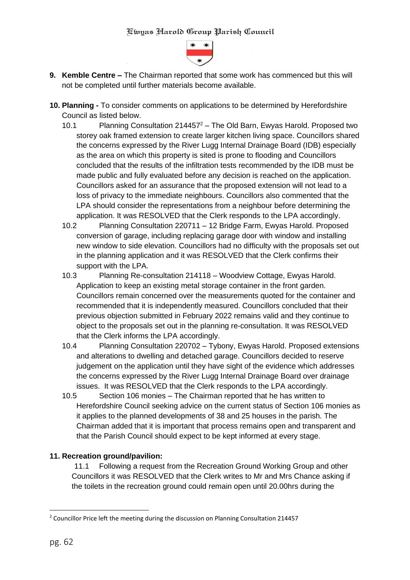

- **9. Kemble Centre –** The Chairman reported that some work has commenced but this will not be completed until further materials become available.
- **10. Planning -** To consider comments on applications to be determined by Herefordshire Council as listed below.
	- 10.1 Planning Consultation  $214457^2$  The Old Barn, Ewyas Harold. Proposed two storey oak framed extension to create larger kitchen living space. Councillors shared the concerns expressed by the River Lugg Internal Drainage Board (IDB) especially as the area on which this property is sited is prone to flooding and Councillors concluded that the results of the infiltration tests recommended by the IDB must be made public and fully evaluated before any decision is reached on the application. Councillors asked for an assurance that the proposed extension will not lead to a loss of privacy to the immediate neighbours. Councillors also commented that the LPA should consider the representations from a neighbour before determining the application. It was RESOLVED that the Clerk responds to the LPA accordingly.
	- 10.2 Planning Consultation 220711 12 Bridge Farm, Ewyas Harold. Proposed conversion of garage, including replacing garage door with window and installing new window to side elevation. Councillors had no difficulty with the proposals set out in the planning application and it was RESOLVED that the Clerk confirms their support with the LPA.
	- 10.3 Planning Re-consultation 214118 Woodview Cottage, Ewyas Harold. Application to keep an existing metal storage container in the front garden. Councillors remain concerned over the measurements quoted for the container and recommended that it is independently measured. Councillors concluded that their previous objection submitted in February 2022 remains valid and they continue to object to the proposals set out in the planning re-consultation. It was RESOLVED that the Clerk informs the LPA accordingly.
	- 10.4 Planning Consultation 220702 Tybony, Ewyas Harold. Proposed extensions and alterations to dwelling and detached garage. Councillors decided to reserve judgement on the application until they have sight of the evidence which addresses the concerns expressed by the River Lugg Internal Drainage Board over drainage issues. It was RESOLVED that the Clerk responds to the LPA accordingly.
	- 10.5 Section 106 monies The Chairman reported that he has written to Herefordshire Council seeking advice on the current status of Section 106 monies as it applies to the planned developments of 38 and 25 houses in the parish. The Chairman added that it is important that process remains open and transparent and that the Parish Council should expect to be kept informed at every stage.

# **11. Recreation ground/pavilion:**

11.1 Following a request from the Recreation Ground Working Group and other Councillors it was RESOLVED that the Clerk writes to Mr and Mrs Chance asking if the toilets in the recreation ground could remain open until 20.00hrs during the

<sup>&</sup>lt;sup>2</sup> Councillor Price left the meeting during the discussion on Planning Consultation 214457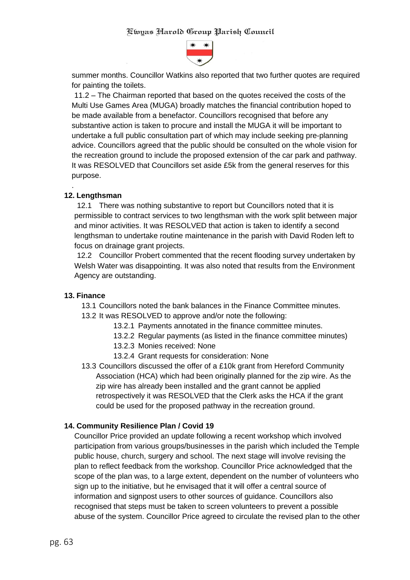

summer months. Councillor Watkins also reported that two further quotes are required for painting the toilets.

11.2 – The Chairman reported that based on the quotes received the costs of the Multi Use Games Area (MUGA) broadly matches the financial contribution hoped to be made available from a benefactor. Councillors recognised that before any substantive action is taken to procure and install the MUGA it will be important to undertake a full public consultation part of which may include seeking pre-planning advice. Councillors agreed that the public should be consulted on the whole vision for the recreation ground to include the proposed extension of the car park and pathway. It was RESOLVED that Councillors set aside £5k from the general reserves for this purpose.

### **12. Lengthsman**

.

12.1 There was nothing substantive to report but Councillors noted that it is permissible to contract services to two lengthsman with the work split between major and minor activities. It was RESOLVED that action is taken to identify a second lengthsman to undertake routine maintenance in the parish with David Roden left to focus on drainage grant projects.

12.2 Councillor Probert commented that the recent flooding survey undertaken by Welsh Water was disappointing. It was also noted that results from the Environment Agency are outstanding.

#### **13. Finance**

13.1 Councillors noted the bank balances in the Finance Committee minutes.

- 13.2 It was RESOLVED to approve and/or note the following:
	- 13.2.1 Payments annotated in the finance committee minutes.
	- 13.2.2 Regular payments (as listed in the finance committee minutes)
	- 13.2.3 Monies received: None
	- 13.2.4 Grant requests for consideration: None
- 13.3 Councillors discussed the offer of a £10k grant from Hereford Community Association (HCA) which had been originally planned for the zip wire. As the zip wire has already been installed and the grant cannot be applied retrospectively it was RESOLVED that the Clerk asks the HCA if the grant could be used for the proposed pathway in the recreation ground.

# **14. Community Resilience Plan / Covid 19**

Councillor Price provided an update following a recent workshop which involved participation from various groups/businesses in the parish which included the Temple public house, church, surgery and school. The next stage will involve revising the plan to reflect feedback from the workshop. Councillor Price acknowledged that the scope of the plan was, to a large extent, dependent on the number of volunteers who sign up to the initiative, but he envisaged that it will offer a central source of information and signpost users to other sources of guidance. Councillors also recognised that steps must be taken to screen volunteers to prevent a possible abuse of the system. Councillor Price agreed to circulate the revised plan to the other